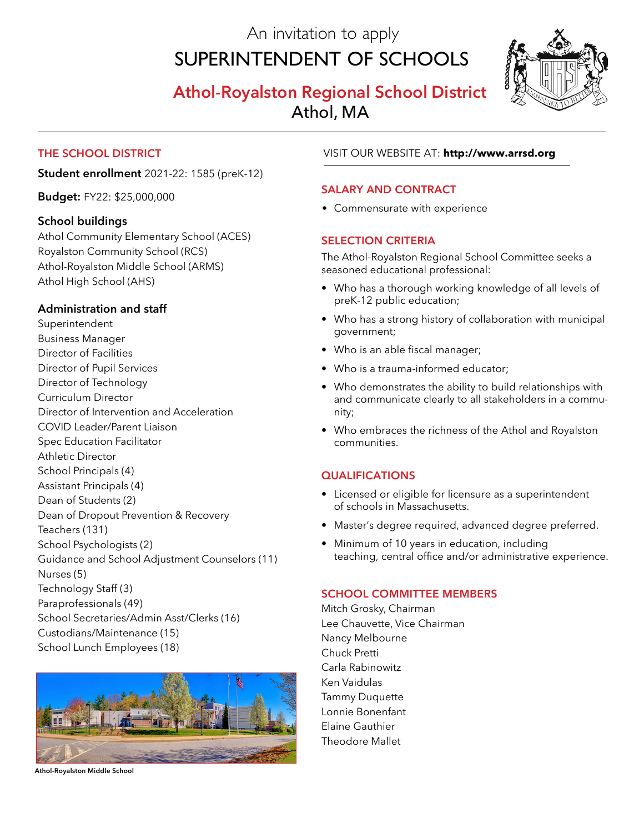An invitation to apply

# Superintendent of Schools





# **The School District**

**Student enrollment** 2021-22: 1585 (preK-12)

**Budget:** FY22: \$25,000,000

## **School buildings**

Athol Community Elementary School (ACES) Royalston Community School (RCS) Athol-Royalston Middle School (ARMS) Athol High School (AHS)

## **Administration and staff**

Superintendent Business Manager Director of Facilities Director of Pupil Services Director of Technology Curriculum Director Director of Intervention and Acceleration COVID Leader/Parent Liaison Spec Education Facilitator Athletic Director School Principals (4) Assistant Principals (4) Dean of Students (2) Dean of Dropout Prevention & Recovery Teachers (131) School Psychologists (2) Guidance and School Adjustment Counselors (11) Nurses (5) Technology Staff (3) Paraprofessionals (49) School Secretaries/Admin Asst/Clerks (16) Custodians/Maintenance (15) School Lunch Employees (18)



**Athol-Royalston Middle School**

## VISIT OUR WEBSITE AT: **http://www.arrsd.org**

#### **Salary and Contract**

• Commensurate with experience

## **SELECTION CRITERIA**

The Athol-Royalston Regional School Committee seeks a seasoned educational professional:

- Who has a thorough working knowledge of all levels of preK-12 public education;
- Who has a strong history of collaboration with municipal government;
- Who is an able fiscal manager;
- Who is a trauma-informed educator;
- Who demonstrates the ability to build relationships with and communicate clearly to all stakeholders in a commu- nity;
- Who embraces the richness of the Athol and Royalston communities.

#### **qualifications**

- Licensed or eligible for licensure as a superintendent of schools in Massachusetts.
- Master's degree required, advanced degree preferred.
- Minimum of 10 years in education, including teaching, central office and/or administrative experience.

## **School Committee MEMBERS**

Mitch Grosky, Chairman Lee Chauvette, Vice Chairman Nancy Melbourne Chuck Pretti Carla Rabinowitz Ken Vaidulas Tammy Duquette Lonnie Bonenfant Elaine Gauthier Theodore Mallet